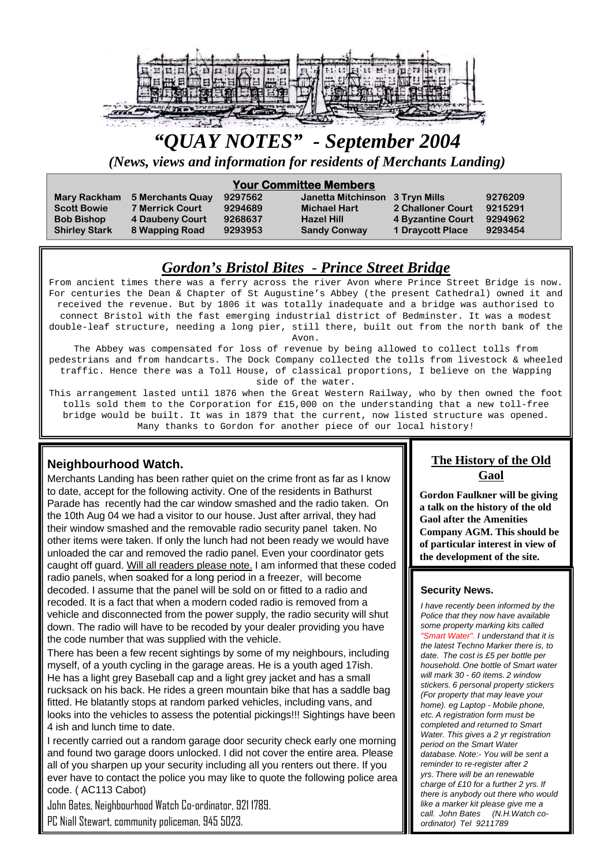

# *"QUAY NOTES" - September 2004*

*(News, views and information for residents of Merchants Landing)*

### **Your Committee Members**

| <b>Mary Rackham</b><br><b>Scott Bowie</b><br><b>Bob Bishop</b><br><b>Shirley Stark</b> | 5 Merchants Quay<br><b>7 Merrick Court</b><br>4 Daubeny Court<br>8 Wapping Road | 9297562<br>9294689<br>9268637<br>9293953 | Janetta Mitchinson 3 Tryn Mills<br><b>Michael Hart</b><br><b>Hazel Hill</b><br><b>Sandy Conway</b> | 2 Challoner Court<br>4 Byzantine Court<br><b>1 Draycott Place</b> | 9276209<br>9215291<br>9294962<br>9293454 |
|----------------------------------------------------------------------------------------|---------------------------------------------------------------------------------|------------------------------------------|----------------------------------------------------------------------------------------------------|-------------------------------------------------------------------|------------------------------------------|
|----------------------------------------------------------------------------------------|---------------------------------------------------------------------------------|------------------------------------------|----------------------------------------------------------------------------------------------------|-------------------------------------------------------------------|------------------------------------------|

### *Gordon's Bristol Bites - Prince Street Bridge*

From ancient times there was a ferry across the river Avon where Prince Street Bridge is now. For centuries the Dean & Chapter of St Augustine's Abbey (the present Cathedral) owned it and received the revenue. But by 1806 it was totally inadequate and a bridge was authorised to connect Bristol with the fast emerging industrial district of Bedminster. It was a modest double-leaf structure, needing a long pier, still there, built out from the north bank of the Avon.

The Abbey was compensated for loss of revenue by being allowed to collect tolls from pedestrians and from handcarts. The Dock Company collected the tolls from livestock & wheeled traffic. Hence there was a Toll House, of classical proportions, I believe on the Wapping side of the water.

This arrangement lasted until 1876 when the Great Western Railway, who by then owned the foot tolls sold them to the Corporation for £15,000 on the understanding that a new toll-free bridge would be built. It was in 1879 that the current, now listed structure was opened. Many thanks to Gordon for another piece of our local history!

### **Neighbourhood Watch.**

Merchants Landing has been rather quiet on the crime front as far as I know to date, accept for the following activity. One of the residents in Bathurst Parade has recently had the car window smashed and the radio taken. On the 10th Aug 04 we had a visitor to our house. Just after arrival, they had their window smashed and the removable radio security panel taken. No other items were taken. If only the lunch had not been ready we would have unloaded the car and removed the radio panel. Even your coordinator gets caught off guard. Will all readers please note. I am informed that these coded radio panels, when soaked for a long period in a freezer, will become decoded. I assume that the panel will be sold on or fitted to a radio and recoded. It is a fact that when a modern coded radio is removed from a vehicle and disconnected from the power supply, the radio security will shut down. The radio will have to be recoded by your dealer providing you have the code number that was supplied with the vehicle.

There has been a few recent sightings by some of my neighbours, including myself, of a youth cycling in the garage areas. He is a youth aged 17ish. He has a light grey Baseball cap and a light grey jacket and has a small rucksack on his back. He rides a green mountain bike that has a saddle bag fitted. He blatantly stops at random parked vehicles, including vans, and looks into the vehicles to assess the potential pickings!!! Sightings have been 4 ish and lunch time to date.

I recently carried out a random garage door security check early one morning and found two garage doors unlocked. I did not cover the entire area. Please all of you sharpen up your security including all you renters out there. If you ever have to contact the police you may like to quote the following police area code. ( AC113 Cabot)

John Bates, Neighbourhood Watch Co-ordinator, 921 1789.

PC Niall Stewart, community policeman, 945 5023.

### **The History of the Old Gaol**

**Gordon Faulkner will be giving a talk on the history of the old Gaol after the Amenities Company AGM. This should be of particular interest in view of the development of the site.**

### **Security News.**

*I have recently been informed by the Police that they now have available some property marking kits called "Smart Water". I understand that it is the latest Techno Marker there is, to date. The cost is £5 per bottle per household. One bottle of Smart water will mark 30 - 60 items. 2 window stickers. 6 personal property stickers (For property that may leave your home). eg Laptop - Mobile phone, etc. A registration form must be completed and returned to Smart Water. This gives a 2 yr registration period on the Smart Water database. Note:- You will be sent a reminder to re-register after 2 yrs. There will be an renewable charge of £10 for a further 2 yrs. If there is anybody out there who would like a marker kit please give me a call. John Bates (N.H.Watch coordinator) Tel 9211789*